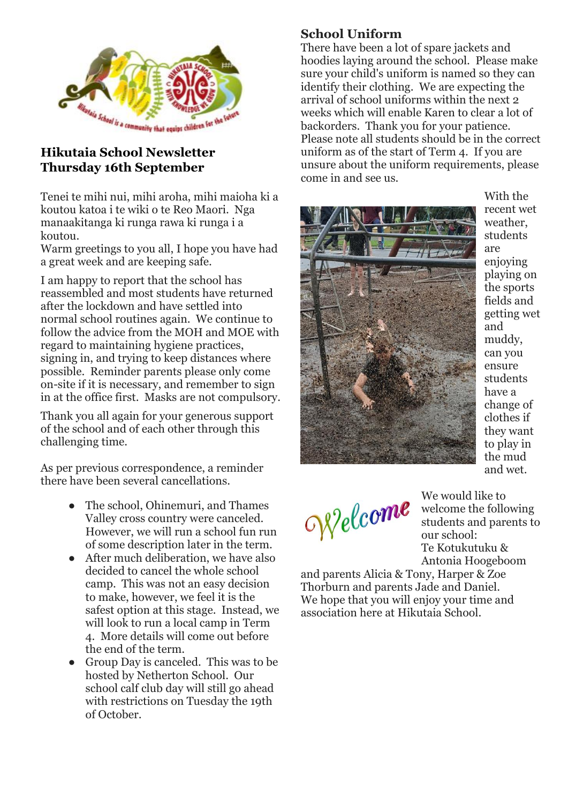

#### **Hikutaia School Newsletter Thursday 16th September**

Tenei te mihi nui, mihi aroha, mihi maioha ki a koutou katoa i te wiki o te Reo Maori. Nga manaakitanga ki runga rawa ki runga i a koutou.

Warm greetings to you all, I hope you have had a great week and are keeping safe.

I am happy to report that the school has reassembled and most students have returned after the lockdown and have settled into normal school routines again. We continue to follow the advice from the MOH and MOE with regard to maintaining hygiene practices, signing in, and trying to keep distances where possible. Reminder parents please only come on-site if it is necessary, and remember to sign in at the office first. Masks are not compulsory.

Thank you all again for your generous support of the school and of each other through this challenging time.

As per previous correspondence, a reminder there have been several cancellations.

- The school, Ohinemuri, and Thames Valley cross country were canceled. However, we will run a school fun run of some description later in the term.
- After much deliberation, we have also decided to cancel the whole school camp. This was not an easy decision to make, however, we feel it is the safest option at this stage. Instead, we will look to run a local camp in Term 4. More details will come out before the end of the term.
- Group Day is canceled. This was to be hosted by Netherton School. Our school calf club day will still go ahead with restrictions on Tuesday the 19th of October.

### **School Uniform**

There have been a lot of spare jackets and hoodies laying around the school. Please make sure your child's uniform is named so they can identify their clothing. We are expecting the arrival of school uniforms within the next 2 weeks which will enable Karen to clear a lot of backorders. Thank you for your patience. Please note all students should be in the correct uniform as of the start of Term 4. If you are unsure about the uniform requirements, please come in and see us.



With the recent wet weather, students are enjoying playing on the sports fields and getting wet and muddy, can you ensure students have a change of clothes if they want to play in the mud and wet.

offelcome

We would like to welcome the following students and parents to our school: Te Kotukutuku & Antonia Hoogeboom

and parents Alicia & Tony, Harper & Zoe Thorburn and parents Jade and Daniel. We hope that you will enjoy your time and association here at Hikutaia School.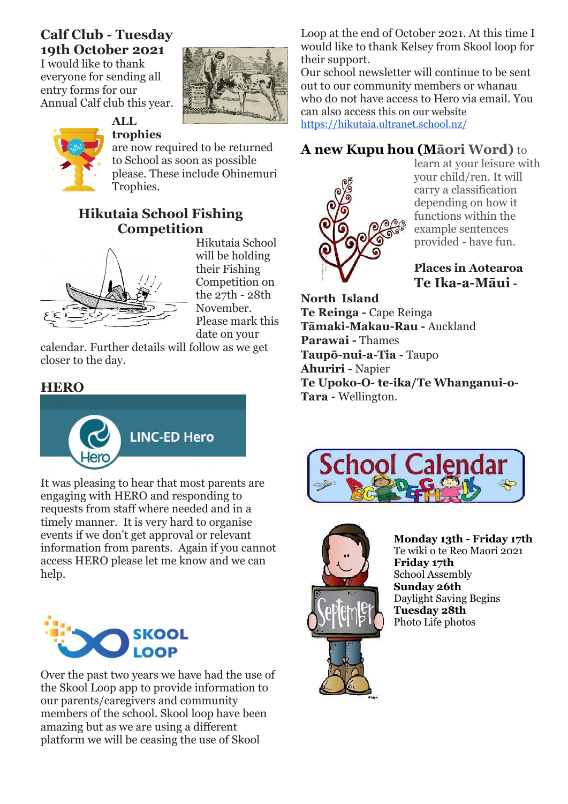# **Calf Club - Tuesday 19th October 2021**

I would like to thank everyone for sending all entry forms for our Annual Calf club this year.



#### **ALL trophies**

are now required to be returned to School as soon as possible please. These include Ohinemuri Trophies.

### **Hikutaia School Fishing Competition**



Hikutaia School will be holding their Fishing Competition on the 27th - 28th November. Please mark this date on your

calendar. Further details will follow as we get closer to the day.

### **HERO**



It was pleasing to hear that most parents are engaging with HERO and responding to requests from staff where needed and in a timely manner. It is very hard to organise events if we don't get approval or relevant information from parents. Again if you cannot access HERO please let me know and we can help.



Over the past two years we have had the use of the Skool Loop app to provide information to our parents/caregivers and community members of the school. Skool loop have been amazing but as we are using a different platform we will be ceasing the use of Skool

Loop at the end of October 2021. At this time I would like to thank Kelsey from Skool loop for their support.

Our school newsletter will continue to be sent out to our community members or whanau who do not have access to Hero via email. You can also access this on our website <https://hikutaia.ultranet.school.nz/>

# **A new Kupu hou (Māori Word)** to



learn at your leisure with your child/ren. It will carry a classification depending on how it functions within the example sentences provided - have fun.

#### **Places in Aotearoa Te Ika-a-Māui -**

**North Island Te Reinga -** Cape Reinga **Tāmaki-Makau-Rau -** Auckland **Parawai -** Thames **Taupō-nui-a-Tia -** Taupo **Ahuriri -** Napier **Te Upoko-O- te-ika/Te Whanganui-o-Tara -** Wellington.





**Monday 13th - Friday 17th**  Te wiki o te Reo Maori 2021 **Friday 17th**  School Assembly **Sunday 26th** Daylight Saving Begins **Tuesday 28th**  Photo Life photos